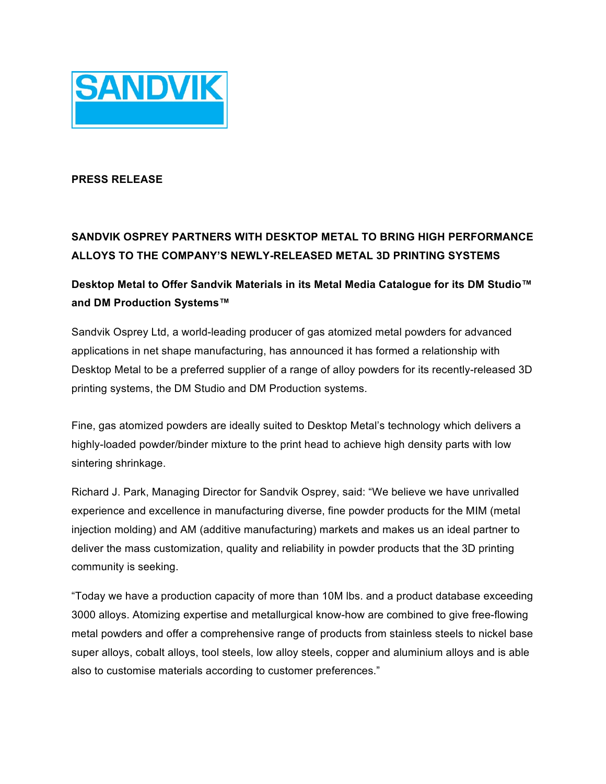

### **PRESS RELEASE**

# **SANDVIK OSPREY PARTNERS WITH DESKTOP METAL TO BRING HIGH PERFORMANCE ALLOYS TO THE COMPANY'S NEWLY-RELEASED METAL 3D PRINTING SYSTEMS**

## **Desktop Metal to Offer Sandvik Materials in its Metal Media Catalogue for its DM Studio™ and DM Production Systems™**

Sandvik Osprey Ltd, a world-leading producer of gas atomized metal powders for advanced applications in net shape manufacturing, has announced it has formed a relationship with Desktop Metal to be a preferred supplier of a range of alloy powders for its recently-released 3D printing systems, the DM Studio and DM Production systems.

Fine, gas atomized powders are ideally suited to Desktop Metal's technology which delivers a highly-loaded powder/binder mixture to the print head to achieve high density parts with low sintering shrinkage.

Richard J. Park, Managing Director for Sandvik Osprey, said: "We believe we have unrivalled experience and excellence in manufacturing diverse, fine powder products for the MIM (metal injection molding) and AM (additive manufacturing) markets and makes us an ideal partner to deliver the mass customization, quality and reliability in powder products that the 3D printing community is seeking.

"Today we have a production capacity of more than 10M lbs. and a product database exceeding 3000 alloys. Atomizing expertise and metallurgical know-how are combined to give free-flowing metal powders and offer a comprehensive range of products from stainless steels to nickel base super alloys, cobalt alloys, tool steels, low alloy steels, copper and aluminium alloys and is able also to customise materials according to customer preferences."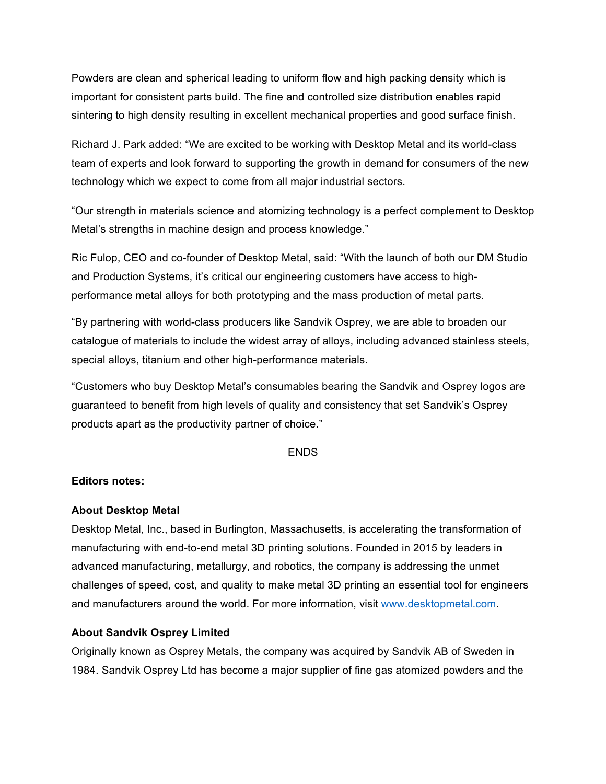Powders are clean and spherical leading to uniform flow and high packing density which is important for consistent parts build. The fine and controlled size distribution enables rapid sintering to high density resulting in excellent mechanical properties and good surface finish.

Richard J. Park added: "We are excited to be working with Desktop Metal and its world-class team of experts and look forward to supporting the growth in demand for consumers of the new technology which we expect to come from all major industrial sectors.

"Our strength in materials science and atomizing technology is a perfect complement to Desktop Metal's strengths in machine design and process knowledge."

Ric Fulop, CEO and co-founder of Desktop Metal, said: "With the launch of both our DM Studio and Production Systems, it's critical our engineering customers have access to highperformance metal alloys for both prototyping and the mass production of metal parts.

"By partnering with world-class producers like Sandvik Osprey, we are able to broaden our catalogue of materials to include the widest array of alloys, including advanced stainless steels, special alloys, titanium and other high-performance materials.

"Customers who buy Desktop Metal's consumables bearing the Sandvik and Osprey logos are guaranteed to benefit from high levels of quality and consistency that set Sandvik's Osprey products apart as the productivity partner of choice."

### **ENDS**

### **Editors notes:**

### **About Desktop Metal**

Desktop Metal, Inc., based in Burlington, Massachusetts, is accelerating the transformation of manufacturing with end-to-end metal 3D printing solutions. Founded in 2015 by leaders in advanced manufacturing, metallurgy, and robotics, the company is addressing the unmet challenges of speed, cost, and quality to make metal 3D printing an essential tool for engineers and manufacturers around the world. For more information, visit www.desktopmetal.com.

## **About Sandvik Osprey Limited**

Originally known as Osprey Metals, the company was acquired by Sandvik AB of Sweden in 1984. Sandvik Osprey Ltd has become a major supplier of fine gas atomized powders and the